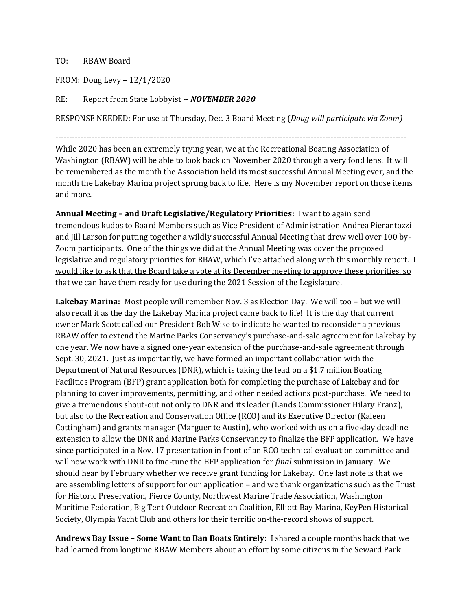## TO: RBAW Board

FROM: Doug Levy – 12/1/2020

## RE: Report from State Lobbyist -- *NOVEMBER 2020*

RESPONSE NEEDED: For use at Thursday, Dec. 3 Board Meeting (*Doug will participate via Zoom)*

-----------------------------------------------------------------------------------------------------------------------------

While 2020 has been an extremely trying year, we at the Recreational Boating Association of Washington (RBAW) will be able to look back on November 2020 through a very fond lens. It will be remembered as the month the Association held its most successful Annual Meeting ever, and the month the Lakebay Marina project sprung back to life. Here is my November report on those items and more.

**Annual Meeting – and Draft Legislative/Regulatory Priorities:** I want to again send tremendous kudos to Board Members such as Vice President of Administration Andrea Pierantozzi and Jill Larson for putting together a wildly successful Annual Meeting that drew well over 100 by-Zoom participants. One of the things we did at the Annual Meeting was cover the proposed legislative and regulatory priorities for RBAW, which I've attached along with this monthly report. I would like to ask that the Board take a vote at its December meeting to approve these priorities, so that we can have them ready for use during the 2021 Session of the Legislature.

**Lakebay Marina:** Most people will remember Nov. 3 as Election Day. We will too – but we will also recall it as the day the Lakebay Marina project came back to life! It is the day that current owner Mark Scott called our President Bob Wise to indicate he wanted to reconsider a previous RBAW offer to extend the Marine Parks Conservancy's purchase-and-sale agreement for Lakebay by one year. We now have a signed one-year extension of the purchase-and-sale agreement through Sept. 30, 2021. Just as importantly, we have formed an important collaboration with the Department of Natural Resources (DNR), which is taking the lead on a \$1.7 million Boating Facilities Program (BFP) grant application both for completing the purchase of Lakebay and for planning to cover improvements, permitting, and other needed actions post-purchase. We need to give a tremendous shout-out not only to DNR and its leader (Lands Commissioner Hilary Franz), but also to the Recreation and Conservation Office (RCO) and its Executive Director (Kaleen Cottingham) and grants manager (Marguerite Austin), who worked with us on a five-day deadline extension to allow the DNR and Marine Parks Conservancy to finalize the BFP application. We have since participated in a Nov. 17 presentation in front of an RCO technical evaluation committee and will now work with DNR to fine-tune the BFP application for *final* submission in January. We should hear by February whether we receive grant funding for Lakebay. One last note is that we are assembling letters of support for our application – and we thank organizations such as the Trust for Historic Preservation, Pierce County, Northwest Marine Trade Association, Washington Maritime Federation, Big Tent Outdoor Recreation Coalition, Elliott Bay Marina, KeyPen Historical Society, Olympia Yacht Club and others for their terrific on-the-record shows of support.

**Andrews Bay Issue – Some Want to Ban Boats Entirely:** I shared a couple months back that we had learned from longtime RBAW Members about an effort by some citizens in the Seward Park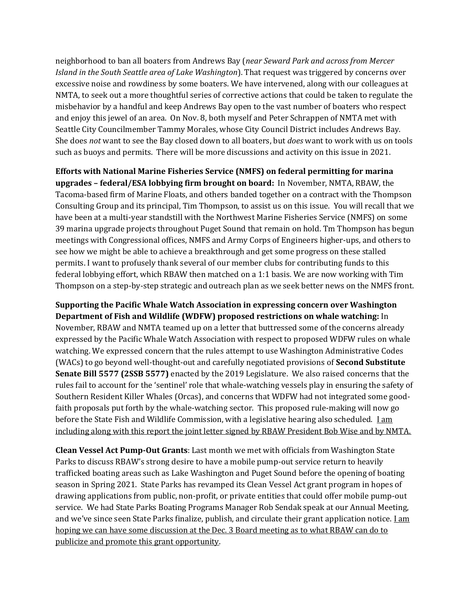neighborhood to ban all boaters from Andrews Bay (*near Seward Park and across from Mercer Island in the South Seattle area of Lake Washington*). That request was triggered by concerns over excessive noise and rowdiness by some boaters. We have intervened, along with our colleagues at NMTA, to seek out a more thoughtful series of corrective actions that could be taken to regulate the misbehavior by a handful and keep Andrews Bay open to the vast number of boaters who respect and enjoy this jewel of an area. On Nov. 8, both myself and Peter Schrappen of NMTA met with Seattle City Councilmember Tammy Morales, whose City Council District includes Andrews Bay. She does *not* want to see the Bay closed down to all boaters, but *does* want to work with us on tools such as buoys and permits. There will be more discussions and activity on this issue in 2021.

**Efforts with National Marine Fisheries Service (NMFS) on federal permitting for marina upgrades – federal/ESA lobbying firm brought on board:** In November, NMTA, RBAW, the Tacoma-based firm of Marine Floats, and others banded together on a contract with the Thompson Consulting Group and its principal, Tim Thompson, to assist us on this issue. You will recall that we have been at a multi-year standstill with the Northwest Marine Fisheries Service (NMFS) on some 39 marina upgrade projects throughout Puget Sound that remain on hold. Tm Thompson has begun meetings with Congressional offices, NMFS and Army Corps of Engineers higher-ups, and others to see how we might be able to achieve a breakthrough and get some progress on these stalled permits. I want to profusely thank several of our member clubs for contributing funds to this federal lobbying effort, which RBAW then matched on a 1:1 basis. We are now working with Tim Thompson on a step-by-step strategic and outreach plan as we seek better news on the NMFS front.

**Supporting the Pacific Whale Watch Association in expressing concern over Washington Department of Fish and Wildlife (WDFW) proposed restrictions on whale watching:** In November, RBAW and NMTA teamed up on a letter that buttressed some of the concerns already expressed by the Pacific Whale Watch Association with respect to proposed WDFW rules on whale watching. We expressed concern that the rules attempt to use Washington Administrative Codes (WACs) to go beyond well-thought-out and carefully negotiated provisions of **Second Substitute Senate Bill 5577 (2SSB 5577)** enacted by the 2019 Legislature. We also raised concerns that the rules fail to account for the 'sentinel' role that whale-watching vessels play in ensuring the safety of Southern Resident Killer Whales (Orcas), and concerns that WDFW had not integrated some goodfaith proposals put forth by the whale-watching sector. This proposed rule-making will now go before the State Fish and Wildlife Commission, with a legislative hearing also scheduled. Lam including along with this report the joint letter signed by RBAW President Bob Wise and by NMTA.

**Clean Vessel Act Pump-Out Grants**: Last month we met with officials from Washington State Parks to discuss RBAW's strong desire to have a mobile pump-out service return to heavily trafficked boating areas such as Lake Washington and Puget Sound before the opening of boating season in Spring 2021. State Parks has revamped its Clean Vessel Act grant program in hopes of drawing applications from public, non-profit, or private entities that could offer mobile pump-out service. We had State Parks Boating Programs Manager Rob Sendak speak at our Annual Meeting, and we've since seen State Parks finalize, publish, and circulate their grant application notice.  $\underline{I}$  am hoping we can have some discussion at the Dec. 3 Board meeting as to what RBAW can do to publicize and promote this grant opportunity.